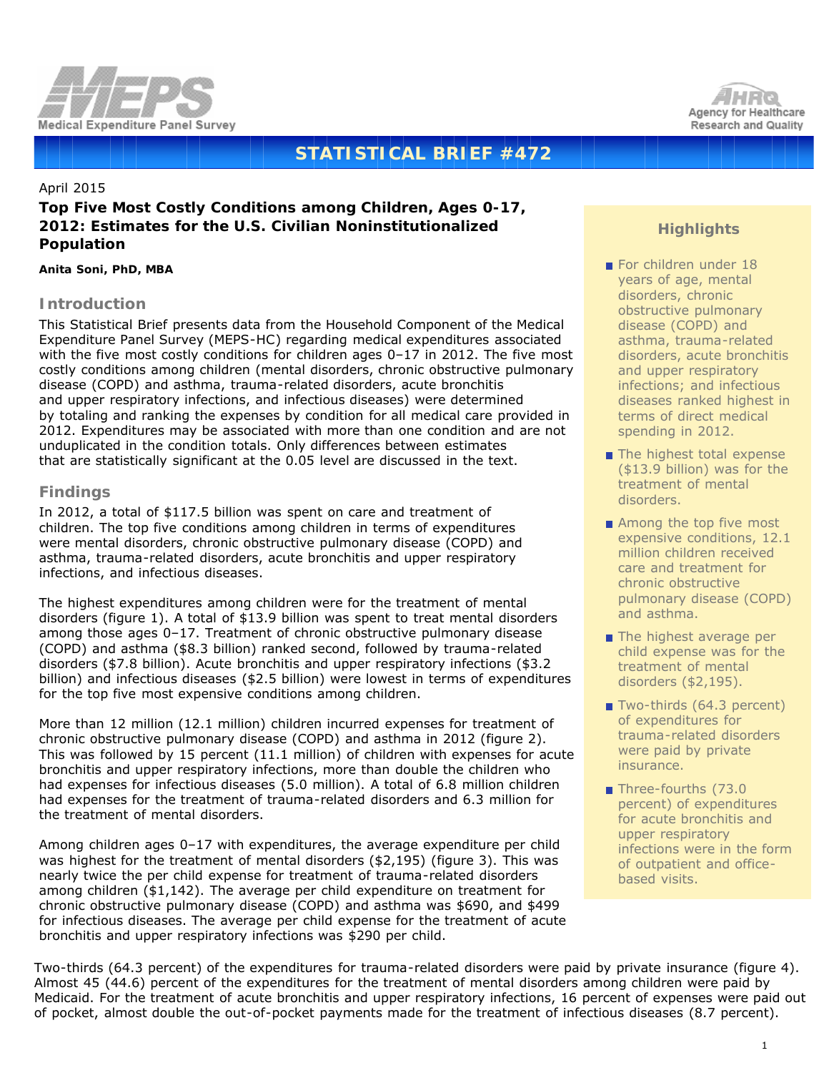



# **STATISTICAL BRIEF #472**

#### April 2015

## **Top Five Most Costly Conditions among Children, Ages 0-17, 2012: Estimates for the U.S. Civilian Noninstitutionalized Population**

#### *Anita Soni, PhD, MBA*

### **Introduction**

This Statistical Brief presents data from the Household Component of the Medical Expenditure Panel Survey (MEPS-HC) regarding medical expenditures associated with the five most costly conditions for children ages 0–17 in 2012. The five most costly conditions among children (mental disorders, chronic obstructive pulmonary disease (COPD) and asthma, trauma-related disorders, acute bronchitis and upper respiratory infections, and infectious diseases) were determined by totaling and ranking the expenses by condition for all medical care provided in 2012. Expenditures may be associated with more than one condition and are not unduplicated in the condition totals. Only differences between estimates that are statistically significant at the 0.05 level are discussed in the text.

## **Findings**

In 2012, a total of \$117.5 billion was spent on care and treatment of children. The top five conditions among children in terms of expenditures were mental disorders, chronic obstructive pulmonary disease (COPD) and asthma, trauma-related disorders, acute bronchitis and upper respiratory infections, and infectious diseases.

The highest expenditures among children were for the treatment of mental disorders (figure 1). A total of \$13.9 billion was spent to treat mental disorders among those ages 0–17. Treatment of chronic obstructive pulmonary disease (COPD) and asthma (\$8.3 billion) ranked second, followed by trauma-related disorders (\$7.8 billion). Acute bronchitis and upper respiratory infections (\$3.2 billion) and infectious diseases (\$2.5 billion) were lowest in terms of expenditures for the top five most expensive conditions among children.

More than 12 million (12.1 million) children incurred expenses for treatment of chronic obstructive pulmonary disease (COPD) and asthma in 2012 (figure 2). This was followed by 15 percent (11.1 million) of children with expenses for acute bronchitis and upper respiratory infections, more than double the children who had expenses for infectious diseases (5.0 million). A total of 6.8 million children had expenses for the treatment of trauma-related disorders and 6.3 million for the treatment of mental disorders.

Among children ages 0–17 with expenditures, the average expenditure per child was highest for the treatment of mental disorders (\$2,195) (figure 3). This was nearly twice the per child expense for treatment of trauma-related disorders among children (\$1,142). The average per child expenditure on treatment for chronic obstructive pulmonary disease (COPD) and asthma was \$690, and \$499 for infectious diseases. The average per child expense for the treatment of acute bronchitis and upper respiratory infections was \$290 per child.

## **Highlights**

- For children under 18 years of age, mental disorders, chronic obstructive pulmonary disease (COPD) and asthma, trauma-related disorders, acute bronchitis and upper respiratory infections; and infectious diseases ranked highest in terms of direct medical spending in 2012.
- The highest total expense (\$13.9 billion) was for the treatment of mental disorders.
- Among the top five most expensive conditions, 12.1 million children received care and treatment for chronic obstructive pulmonary disease (COPD) and asthma.
- $\blacksquare$  The highest average per child expense was for the treatment of mental disorders (\$2,195).
- Two-thirds (64.3 percent) of expenditures for trauma-related disorders were paid by private insurance.
- Three-fourths (73.0 percent) of expenditures for acute bronchitis and upper respiratory infections were in the form of outpatient and officebased visits.

Two-thirds (64.3 percent) of the expenditures for trauma-related disorders were paid by private insurance (figure 4). Almost 45 (44.6) percent of the expenditures for the treatment of mental disorders among children were paid by Medicaid. For the treatment of acute bronchitis and upper respiratory infections, 16 percent of expenses were paid out of pocket, almost double the out-of-pocket payments made for the treatment of infectious diseases (8.7 percent).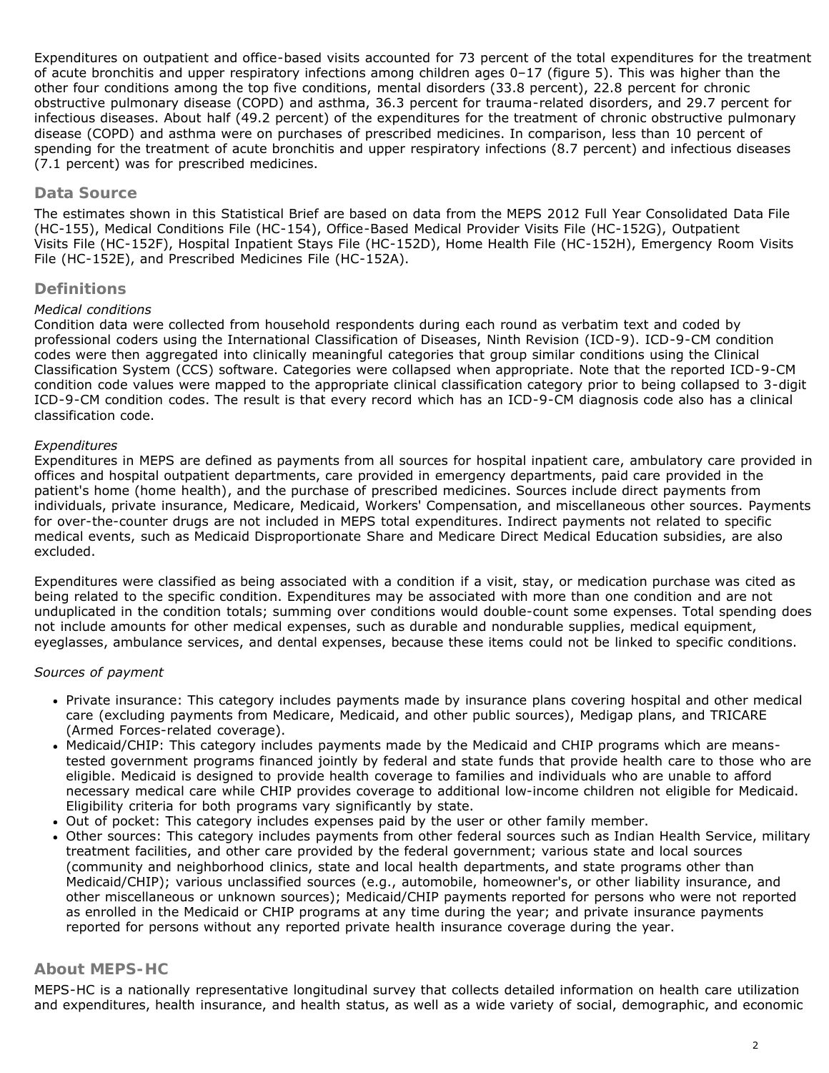Expenditures on outpatient and office-based visits accounted for 73 percent of the total expenditures for the treatment of acute bronchitis and upper respiratory infections among children ages 0–17 (figure 5). This was higher than the other four conditions among the top five conditions, mental disorders (33.8 percent), 22.8 percent for chronic obstructive pulmonary disease (COPD) and asthma, 36.3 percent for trauma-related disorders, and 29.7 percent for infectious diseases. About half (49.2 percent) of the expenditures for the treatment of chronic obstructive pulmonary disease (COPD) and asthma were on purchases of prescribed medicines. In comparison, less than 10 percent of spending for the treatment of acute bronchitis and upper respiratory infections (8.7 percent) and infectious diseases (7.1 percent) was for prescribed medicines.

## **Data Source**

The estimates shown in this Statistical Brief are based on data from the MEPS 2012 Full Year Consolidated Data File (HC-155), Medical Conditions File (HC-154), Office-Based Medical Provider Visits File (HC-152G), Outpatient Visits File (HC-152F), Hospital Inpatient Stays File (HC-152D), Home Health File (HC-152H), Emergency Room Visits File (HC-152E), and Prescribed Medicines File (HC-152A).

## **Definitions**

### *Medical conditions*

Condition data were collected from household respondents during each round as verbatim text and coded by professional coders using the International Classification of Diseases, Ninth Revision (ICD-9). ICD-9-CM condition codes were then aggregated into clinically meaningful categories that group similar conditions using the Clinical Classification System (CCS) software. Categories were collapsed when appropriate. Note that the reported ICD-9-CM condition code values were mapped to the appropriate clinical classification category prior to being collapsed to 3-digit ICD-9-CM condition codes. The result is that every record which has an ICD-9-CM diagnosis code also has a clinical classification code.

### *Expenditures*

Expenditures in MEPS are defined as payments from all sources for hospital inpatient care, ambulatory care provided in offices and hospital outpatient departments, care provided in emergency departments, paid care provided in the patient's home (home health), and the purchase of prescribed medicines. Sources include direct payments from individuals, private insurance, Medicare, Medicaid, Workers' Compensation, and miscellaneous other sources. Payments for over-the-counter drugs are not included in MEPS total expenditures. Indirect payments not related to specific medical events, such as Medicaid Disproportionate Share and Medicare Direct Medical Education subsidies, are also excluded.

Expenditures were classified as being associated with a condition if a visit, stay, or medication purchase was cited as being related to the specific condition. Expenditures may be associated with more than one condition and are not unduplicated in the condition totals; summing over conditions would double-count some expenses. Total spending does not include amounts for other medical expenses, such as durable and nondurable supplies, medical equipment, eyeglasses, ambulance services, and dental expenses, because these items could not be linked to specific conditions.

#### *Sources of payment*

- Private insurance: This category includes payments made by insurance plans covering hospital and other medical care (excluding payments from Medicare, Medicaid, and other public sources), Medigap plans, and TRICARE (Armed Forces-related coverage).
- Medicaid/CHIP: This category includes payments made by the Medicaid and CHIP programs which are meanstested government programs financed jointly by federal and state funds that provide health care to those who are eligible. Medicaid is designed to provide health coverage to families and individuals who are unable to afford necessary medical care while CHIP provides coverage to additional low-income children not eligible for Medicaid. Eligibility criteria for both programs vary significantly by state.
- Out of pocket: This category includes expenses paid by the user or other family member.
- Other sources: This category includes payments from other federal sources such as Indian Health Service, military treatment facilities, and other care provided by the federal government; various state and local sources (community and neighborhood clinics, state and local health departments, and state programs other than Medicaid/CHIP); various unclassified sources (e.g., automobile, homeowner's, or other liability insurance, and other miscellaneous or unknown sources); Medicaid/CHIP payments reported for persons who were not reported as enrolled in the Medicaid or CHIP programs at any time during the year; and private insurance payments reported for persons without any reported private health insurance coverage during the year.

## **About MEPS-HC**

MEPS-HC is a nationally representative longitudinal survey that collects detailed information on health care utilization and expenditures, health insurance, and health status, as well as a wide variety of social, demographic, and economic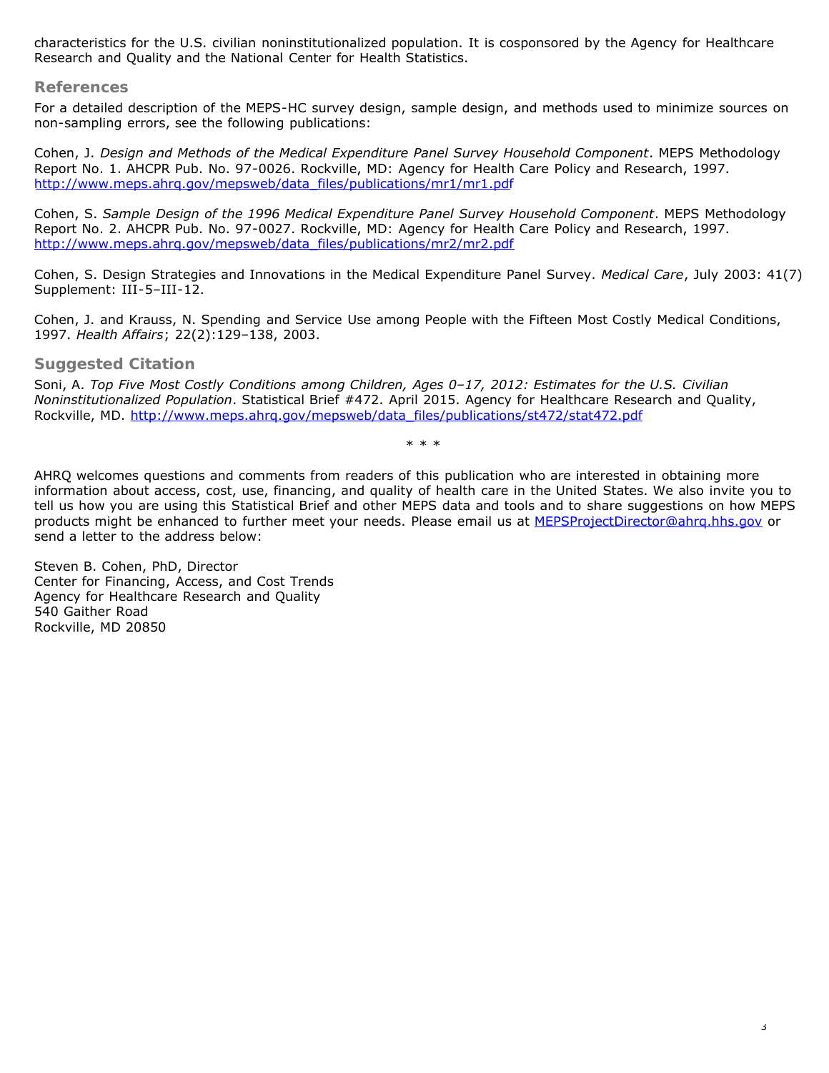characteristics for the U.S. civilian noninstitutionalized population. It is cosponsored by the Agency for Healthcare Research and Quality and the National Center for Health Statistics.

#### **References**

For a detailed description of the MEPS-HC survey design, sample design, and methods used to minimize sources on non-sampling errors, see the following publications:

Cohen, J. *Design and Methods of the Medical Expenditure Panel Survey Household Component*. MEPS Methodology Report No. 1. AHCPR Pub. No. 97-0026. Rockville, MD: Agency for Health Care Policy and Research, 1997. [http://www.meps.ahrq.gov/mepsweb/data\\_files/publications/mr1/mr1.pdf](http://www.meps.ahrq.gov/mepsweb/data_files/publications/mr1/mr1.pdf)

Cohen, S. *Sample Design of the 1996 Medical Expenditure Panel Survey Household Component*. MEPS Methodology Report No. 2. AHCPR Pub. No. 97-0027. Rockville, MD: Agency for Health Care Policy and Research, 1997. [http://www.meps.ahrq.gov/mepsweb/data\\_files/publications/mr2/mr2.pdf](http://www.meps.ahrq.gov/mepsweb/data_files/publications/mr2/mr2.pdf)

Cohen, S. Design Strategies and Innovations in the Medical Expenditure Panel Survey. *Medical Care*, July 2003: 41(7) Supplement: III-5–III-12.

Cohen, J. and Krauss, N. Spending and Service Use among People with the Fifteen Most Costly Medical Conditions, 1997. *Health Affairs*; 22(2):129–138, 2003.

#### **Suggested Citation**

Soni, A. *Top Five Most Costly Conditions among Children, Ages 0–17, 2012: Estimates for the U.S. Civilian Noninstitutionalized Population*. Statistical Brief #472. April 2015. Agency for Healthcare Research and Quality, Rockville, MD. [http://www.meps.ahrq.gov/mepsweb/data\\_files/publications/st472/stat472.pdf](http://www.meps.ahrq.gov/mepsweb/data_files/publications/st472/stat472.pdf)

\* \* \*

AHRQ welcomes questions and comments from readers of this publication who are interested in obtaining more information about access, cost, use, financing, and quality of health care in the United States. We also invite you to tell us how you are using this Statistical Brief and other MEPS data and tools and to share suggestions on how MEPS products might be enhanced to further meet your needs. Please email us at [MEPSProjectDirector@ahrq.hhs.gov](mailto:MEPSProjectDirector@ahrq.hhs.gov) or send a letter to the address below:

Steven B. Cohen, PhD, Director Center for Financing, Access, and Cost Trends Agency for Healthcare Research and Quality 540 Gaither Road Rockville, MD 20850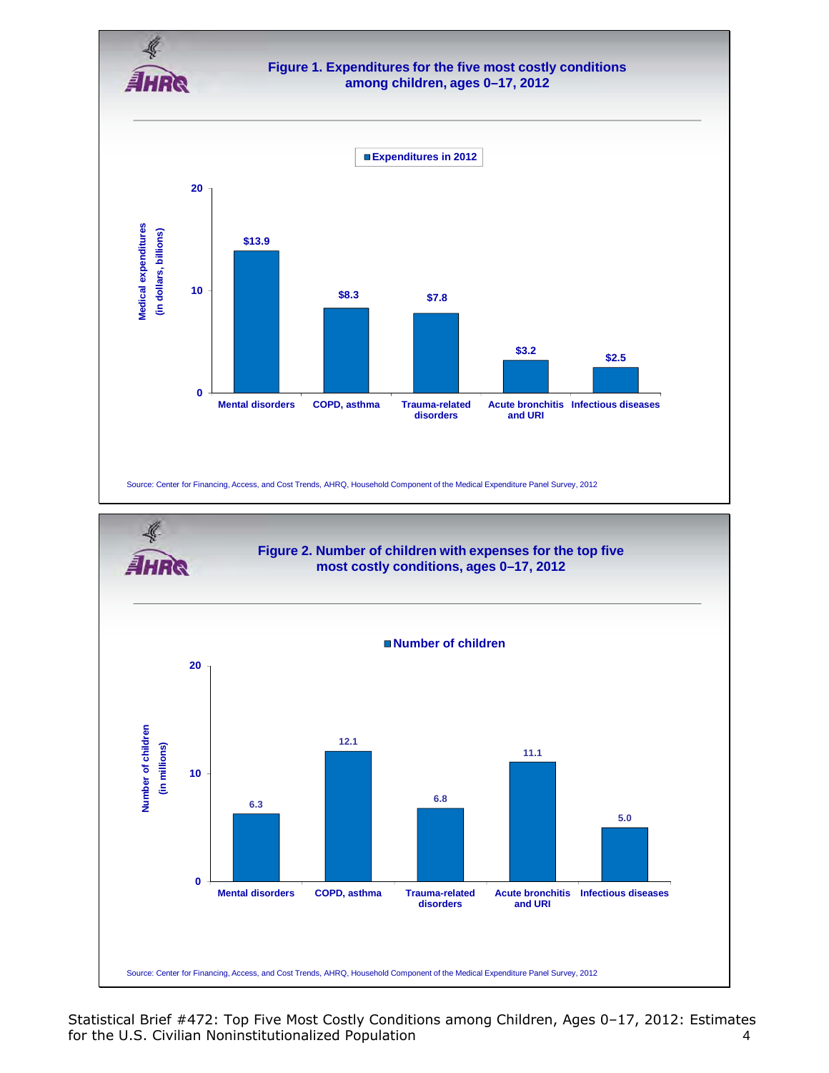

Statistical Brief #472: Top Five Most Costly Conditions among Children, Ages 0–17, 2012: Estimates for the U.S. Civilian Noninstitutionalized Population 4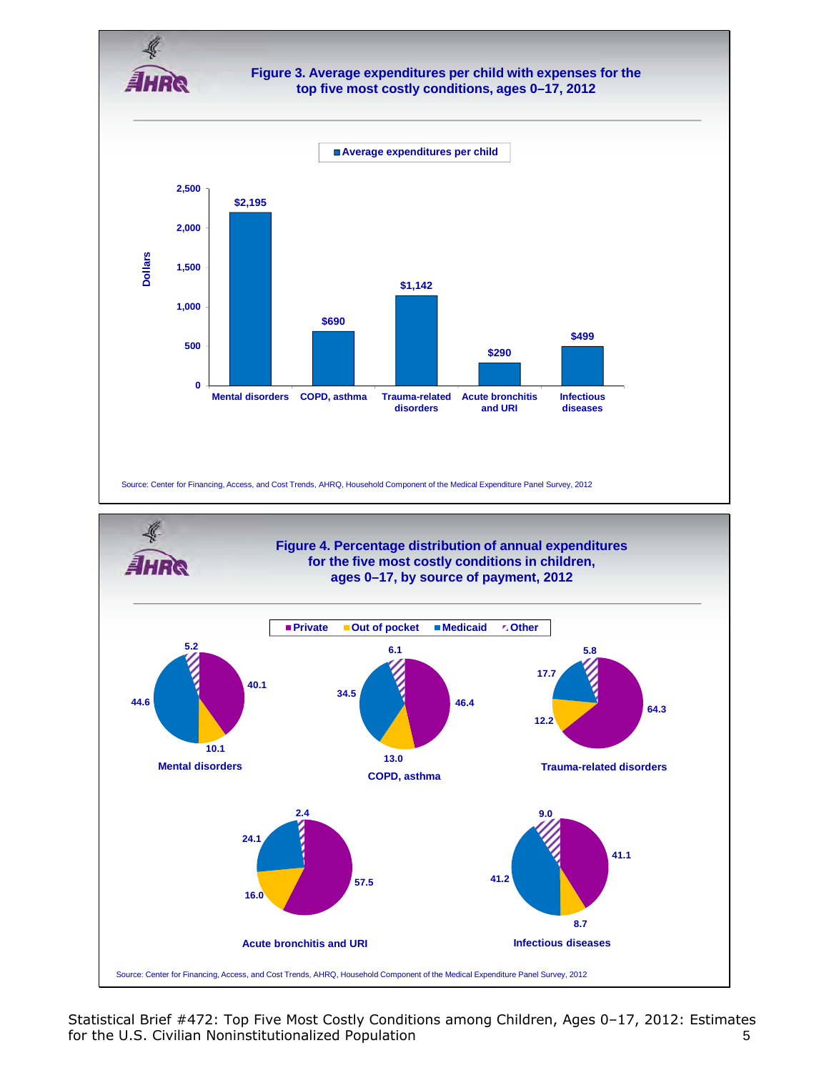

### **Figure 3. Average expenditures per child with expenses for the top five most costly conditions, ages 0–17, 2012**





Statistical Brief #472: Top Five Most Costly Conditions among Children, Ages 0–17, 2012: Estimates for the U.S. Civilian Noninstitutionalized Population 6 and 5 and 5 and 5 and 5 and 5 and 5 and 5 and 5 and 5 and 5 and 5 and 5 and 5 and 5 and 5 and 5 and 5 and 5 and 5 and 5 and 5 and 5 and 5 and 5 and 5 and 5 and 5 and